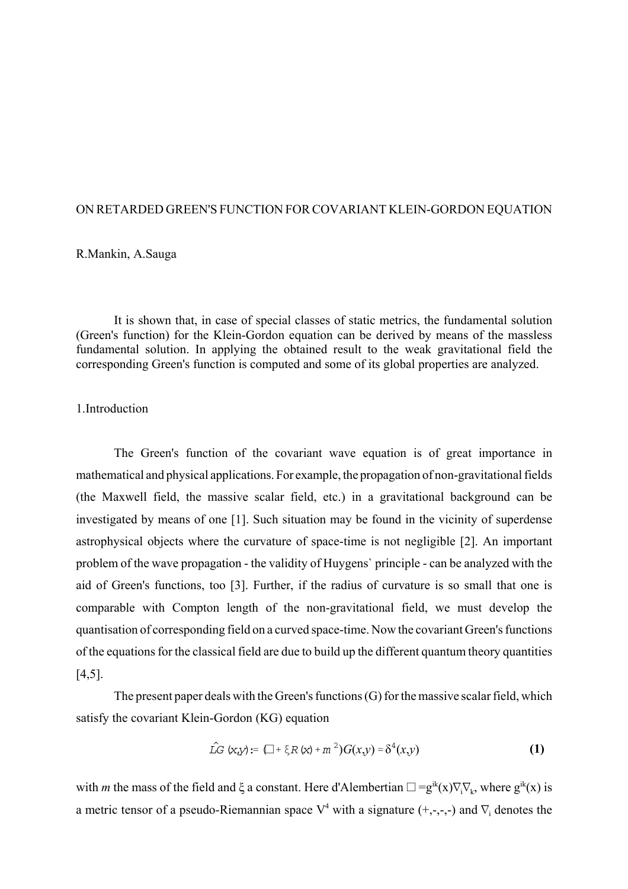### ON RETARDED GREEN'S FUNCTION FOR COVARIANT KLEIN-GORDON EQUATION

# R.Mankin, A.Sauga

It is shown that, in case of special classes of static metrics, the fundamental solution (Green's function) for the Klein-Gordon equation can be derived by means of the massless fundamental solution. In applying the obtained result to the weak gravitational field the corresponding Green's function is computed and some of its global properties are analyzed.

#### 1.Introduction

The Green's function of the covariant wave equation is of great importance in mathematical and physical applications. For example, the propagation of non-gravitational fields (the Maxwell field, the massive scalar field, etc.) in a gravitational background can be investigated by means of one [1]. Such situation may be found in the vicinity of superdense astrophysical objects where the curvature of space-time is not negligible [2]. An important problem of the wave propagation - the validity of Huygens` principle - can be analyzed with the aid of Green's functions, too [3]. Further, if the radius of curvature is so small that one is comparable with Compton length of the non-gravitational field, we must develop the quantisation of corresponding field on a curved space-time. Now the covariant Green's functions of the equations for the classical field are due to build up the different quantum theory quantities [4,5].

The present paper deals with the Green's functions (G) for the massive scalar field, which satisfy the covariant Klein-Gordon (KG) equation

$$
\hat{LG}(x,y) := (\Box + \xi R(x) + m^2)G(x,y) = \delta^4(x,y)
$$
 (1)

with *m* the mass of the field and  $\xi$  a constant. Here d'Alembertian  $\square = g^{ik}(x)\nabla_i \nabla_k$ , where  $g^{ik}(x)$  is a metric tensor of a pseudo-Riemannian space  $V^4$  with a signature (+,-,-,-) and  $\nabla_i$  denotes the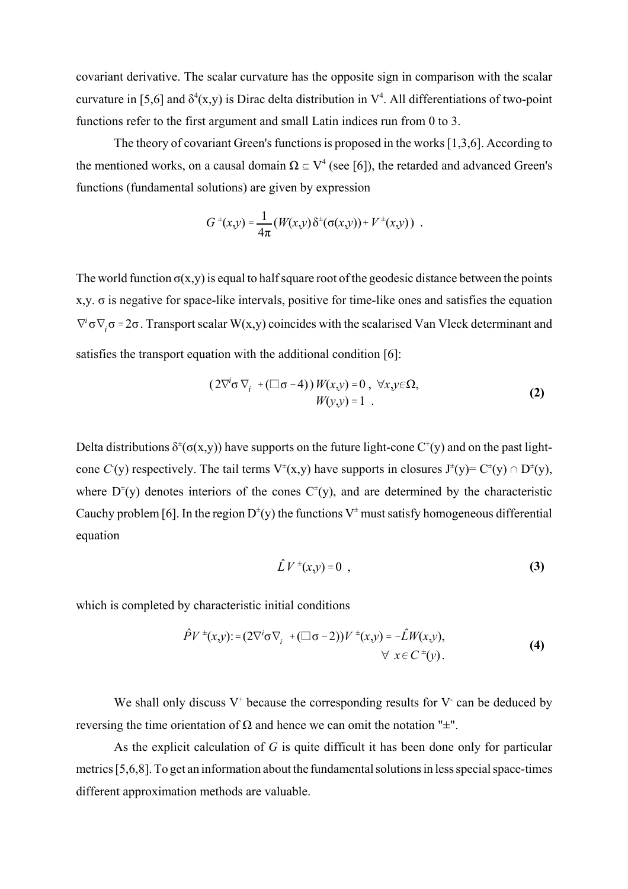covariant derivative. The scalar curvature has the opposite sign in comparison with the scalar curvature in [5,6] and  $\delta^4(x, y)$  is Dirac delta distribution in  $V^4$ . All differentiations of two-point functions refer to the first argument and small Latin indices run from 0 to 3.

The theory of covariant Green's functions is proposed in the works [1,3,6]. According to the mentioned works, on a causal domain  $\Omega \subseteq V^4$  (see [6]), the retarded and advanced Green's functions (fundamental solutions) are given by expression

$$
G^{\pm}(x,y) = \frac{1}{4\pi} (W(x,y) \delta^{\pm}(\sigma(x,y)) + V^{\pm}(x,y)) .
$$

The world function  $\sigma(x,y)$  is equal to half square root of the geodesic distance between the points  $x,y$ .  $\sigma$  is negative for space-like intervals, positive for time-like ones and satisfies the equation  $\nabla^i$ σ $\nabla_i$ σ = 2σ. Transport scalar W(x,y) coincides with the scalarised Van Vleck determinant and satisfies the transport equation with the additional condition [6]:

$$
(2\nabla^{i}\sigma\nabla_{i} + (\Box \sigma - 4))W(x,y) = 0, \forall x, y \in \Omega, W(y,y) = 1.
$$
 (2)

Delta distributions  $\delta^{\pm}(\sigma(x,y))$  have supports on the future light-cone  $C^{\pm}(y)$  and on the past lightcone C'(y) respectively. The tail terms  $V^{\pm}(x,y)$  have supports in closures  $J^{\pm}(y) = C^{\pm}(y) \cap D^{\pm}(y)$ , where  $D^{\pm}(y)$  denotes interiors of the cones  $C^{\pm}(y)$ , and are determined by the characteristic Cauchy problem [6]. In the region  $D^{\dagger}(y)$  the functions  $V^{\dagger}$  must satisfy homogeneous differential equation

$$
\hat{L}V^{\pm}(x,y)=0\tag{3}
$$

which is completed by characteristic initial conditions

$$
\hat{P}V^{\pm}(x,y) := (2\nabla^{i}\sigma \nabla_{i} + (\Box \sigma - 2))V^{\pm}(x,y) = -\hat{L}W(x,y),
$$
  

$$
\forall x \in C^{\pm}(y).
$$
 (4)

We shall only discuss  $V^+$  because the corresponding results for  $V^-$  can be deduced by reversing the time orientation of Ω and hence we can omit the notation " $\pm$ ".

As the explicit calculation of *G* is quite difficult it has been done only for particular metrics [5,6,8]. To get an information about the fundamental solutions in less special space-times different approximation methods are valuable.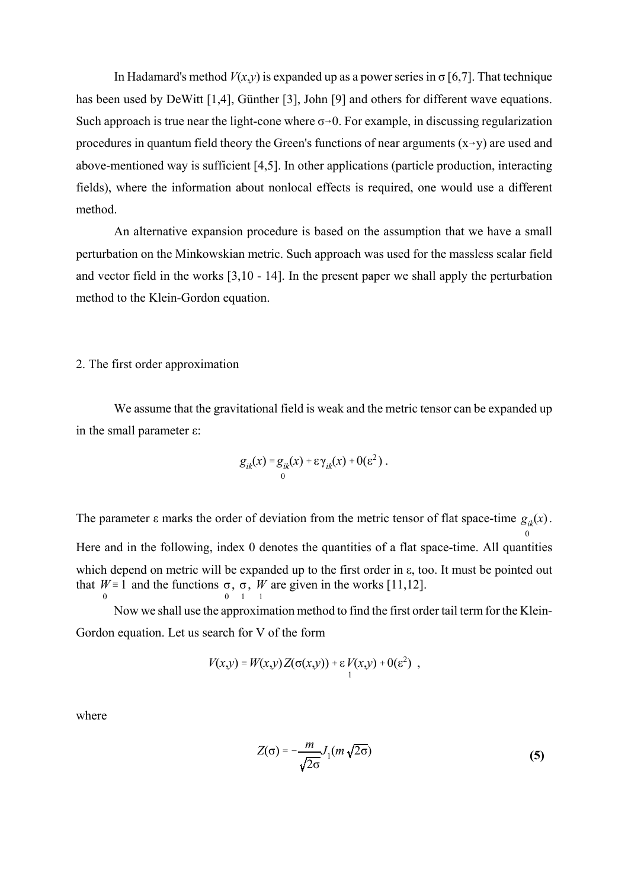In Hadamard's method  $V(x,y)$  is expanded up as a power series in  $\sigma$  [6,7]. That technique has been used by DeWitt [1,4], Günther [3], John [9] and others for different wave equations. Such approach is true near the light-cone where  $\sigma$ -0. For example, in discussing regularization procedures in quantum field theory the Green's functions of near arguments  $(x\rightarrow y)$  are used and above-mentioned way is sufficient [4,5]. In other applications (particle production, interacting fields), where the information about nonlocal effects is required, one would use a different method.

An alternative expansion procedure is based on the assumption that we have a small perturbation on the Minkowskian metric. Such approach was used for the massless scalar field and vector field in the works [3,10 - 14]. In the present paper we shall apply the perturbation method to the Klein-Gordon equation.

2. The first order approximation

We assume that the gravitational field is weak and the metric tensor can be expanded up in the small parameter ε:

$$
g_{ik}(x) = g_{ik}(x) + \varepsilon \gamma_{ik}(x) + 0(\varepsilon^2).
$$

The parameter  $\varepsilon$  marks the order of deviation from the metric tensor of flat space-time  $g_{ik}(x)$ . 0 Here and in the following, index 0 denotes the quantities of a flat space-time. All quantities which depend on metric will be expanded up to the first order in ε, too. It must be pointed out that  $W = 1$  and the functions  $\sigma$ ,  $\sigma$ , *W* are given in the works [11,12]. 0 0  $\overline{1}$ 1

Now we shall use the approximation method to find the first order tail term for the Klein-Gordon equation. Let us search for V of the form

$$
V(x,y) = W(x,y) Z(\sigma(x,y)) + \varepsilon V(x,y) + O(\varepsilon^2) ,
$$

where

$$
Z(\sigma) = -\frac{m}{\sqrt{2\sigma}} J_1(m\sqrt{2\sigma})
$$
 (5)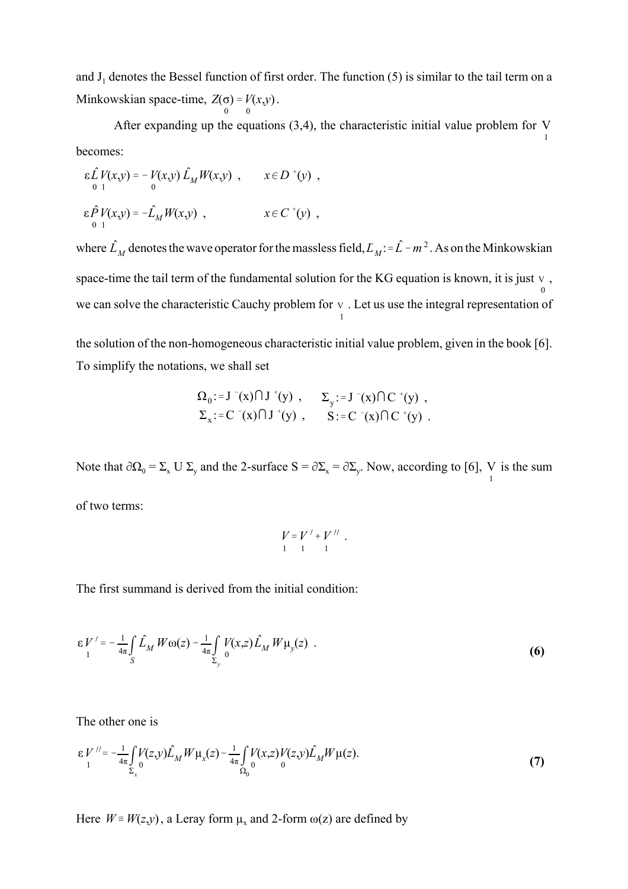and  $J_1$  denotes the Bessel function of first order. The function (5) is similar to the tail term on a Minkowskian space-time,  $Z(\sigma) = V(x,y)$ . 0  $) = V$ 0 (*x*,*y*)

After expanding up the equations (3,4), the characteristic initial value problem for V 1 becomes:

$$
\varepsilon \hat{L} V(x,y) = -V(x,y) \hat{L}_M W(x,y) , \qquad x \in D^{+}(y) ,
$$
  

$$
\varepsilon \hat{P} V(x,y) = -\hat{L}_M W(x,y) , \qquad x \in C^{+}(y) ,
$$

where  $\hat{L}_M$  denotes the wave operator for the massless field,  $L_M$ : =  $\hat{L}$  -  $m^2$ . As on the Minkowskian space-time the tail term of the fundamental solution for the KG equation is known, it is just  $v$ , 0 we can solve the characteristic Cauchy problem for  $v$ . Let us use the integral representation of 1

the solution of the non-homogeneous characteristic initial value problem, given in the book [6]. To simplify the notations, we shall set

$$
\Omega_0 := J^-(x) \cap J^+(y) , \qquad \Sigma_y := J^-(x) \cap C^+(y) ,
$$
  

$$
\Sigma_x := C^-(x) \cap J^+(y) , \qquad S := C^-(x) \cap C^+(y) .
$$

Note that  $\partial \Omega_0 = \Sigma_x U \Sigma_y$  and the 2-surface  $S = \partial \Sigma_x = \partial \Sigma_y$ . Now, according to [6], V is the sum of two terms:

$$
V = V' + V'' \n1 \n1 \n1 \n1
$$

The first summand is derived from the initial condition:

$$
\varepsilon V' = -\frac{1}{4\pi} \int_{S} \hat{L}_M W \omega(z) - \frac{1}{4\pi} \int_{\Sigma_y} V(x,z) \hat{L}_M W \mu_y(z) . \tag{6}
$$

The other one is

$$
\varepsilon V^{\prime\prime} = -\frac{1}{4\pi} \int_{\Sigma_x} V(z, y) \hat{L}_M W \mu_x(z) - \frac{1}{4\pi} \int_{\Omega_0} V(x, z) V(z, y) \hat{L}_M W \mu(z).
$$
(7)

Here  $W = W(z, y)$ , a Leray form  $\mu_x$  and 2-form  $\omega(z)$  are defined by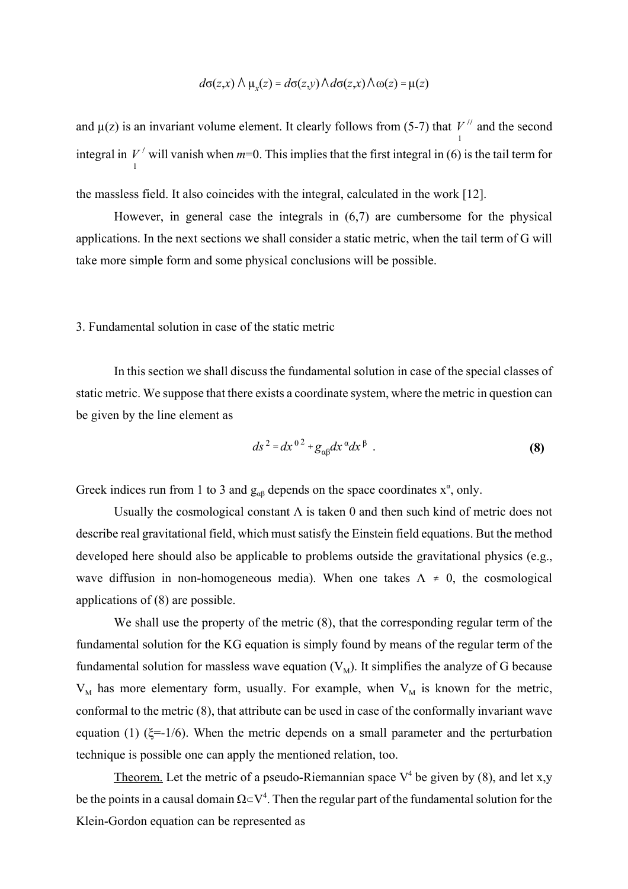$$
d\sigma(z,x) \wedge \mu_x(z) = d\sigma(z,y) \wedge d\sigma(z,x) \wedge \omega(z) = \mu(z)
$$

and  $\mu(z)$  is an invariant volume element. It clearly follows from (5-7) that  $V''$  and the second 1 integral in  $V'$  will vanish when  $m=0$ . This implies that the first integral in (6) is the tail term for 1

the massless field. It also coincides with the integral, calculated in the work [12].

However, in general case the integrals in (6,7) are cumbersome for the physical applications. In the next sections we shall consider a static metric, when the tail term of G will take more simple form and some physical conclusions will be possible.

#### 3. Fundamental solution in case of the static metric

In this section we shall discuss the fundamental solution in case of the special classes of static metric. We suppose that there exists a coordinate system, where the metric in question can be given by the line element as

$$
ds^2 = dx^{0^2} + g_{\alpha\beta} dx^{\alpha} dx^{\beta} . \qquad (8)
$$

Greek indices run from 1 to 3 and  $g_{\alpha\beta}$  depends on the space coordinates  $x^{\alpha}$ , only.

Usually the cosmological constant  $\Lambda$  is taken 0 and then such kind of metric does not describe real gravitational field, which must satisfy the Einstein field equations. But the method developed here should also be applicable to problems outside the gravitational physics (e.g., wave diffusion in non-homogeneous media). When one takes  $\Lambda \neq 0$ , the cosmological applications of (8) are possible.

We shall use the property of the metric  $(8)$ , that the corresponding regular term of the fundamental solution for the KG equation is simply found by means of the regular term of the fundamental solution for massless wave equation  $(V_M)$ . It simplifies the analyze of G because  $V_M$  has more elementary form, usually. For example, when  $V_M$  is known for the metric, conformal to the metric (8), that attribute can be used in case of the conformally invariant wave equation (1) ( $\xi=1/6$ ). When the metric depends on a small parameter and the perturbation technique is possible one can apply the mentioned relation, too.

Theorem. Let the metric of a pseudo-Riemannian space  $V^4$  be given by (8), and let x,y be the points in a causal domain  $\Omega \subset V^4$ . Then the regular part of the fundamental solution for the Klein-Gordon equation can be represented as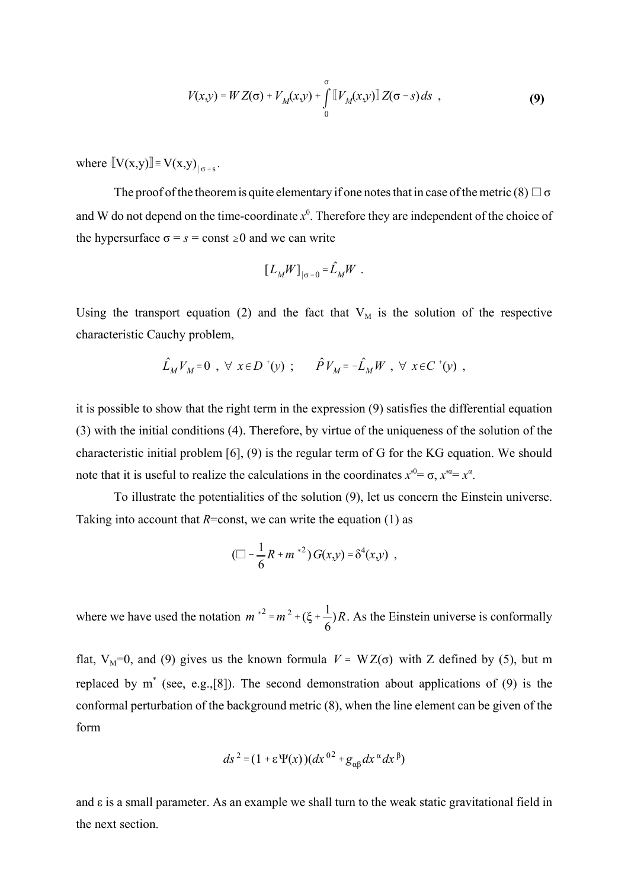$$
V(x,y) = W Z(\sigma) + V_M(x,y) + \int_{0}^{\sigma} \llbracket V_M(x,y) \rrbracket Z(\sigma - s) ds , \qquad (9)
$$

where  $\llbracket V(x,y) \rrbracket = V(x,y)_{|\sigma = s}$ .

The proof of the theorem is quite elementary if one notes that in case of the metric (8)  $\Box$   $\sigma$ and W do not depend on the time-coordinate  $x^0$ . Therefore they are independent of the choice of the hypersurface  $\sigma = s = \text{const} \ge 0$  and we can write

$$
\left[L_M W\right]_{|\sigma=0} = \hat{L}_M W \ .
$$

Using the transport equation (2) and the fact that  $V_M$  is the solution of the respective characteristic Cauchy problem,

$$
\hat{L}_M V_M = 0 \ , \ \forall \ x \in D^+(y) \ ; \qquad \hat{P} V_M = -\hat{L}_M W \ , \ \forall \ x \in C^+(y) \ ,
$$

it is possible to show that the right term in the expression (9) satisfies the differential equation (3) with the initial conditions (4). Therefore, by virtue of the uniqueness of the solution of the characteristic initial problem [6], (9) is the regular term of G for the KG equation. We should note that it is useful to realize the calculations in the coordinates  $x^0 = \sigma$ ,  $x^0 = x^\alpha$ .

To illustrate the potentialities of the solution (9), let us concern the Einstein universe. Taking into account that  $R = const$ , we can write the equation (1) as

$$
(\Box - \frac{1}{6}R + m^{*2}) G(x,y) = \delta^4(x,y) ,
$$

where we have used the notation  $m^{*2} = m^2 + (\xi + \frac{1}{\epsilon})R$ . As the Einstein universe is conformally 6 )*R*

flat, V<sub>M</sub>=0, and (9) gives us the known formula  $V = WZ(σ)$  with Z defined by (5), but m replaced by m\* (see, e.g.,[8]). The second demonstration about applications of (9) is the conformal perturbation of the background metric (8), when the line element can be given of the form

$$
ds^{2} = (1 + \varepsilon \Psi(x))(dx^{02} + g_{\alpha\beta}dx^{\alpha}dx^{\beta})
$$

and  $\varepsilon$  is a small parameter. As an example we shall turn to the weak static gravitational field in the next section.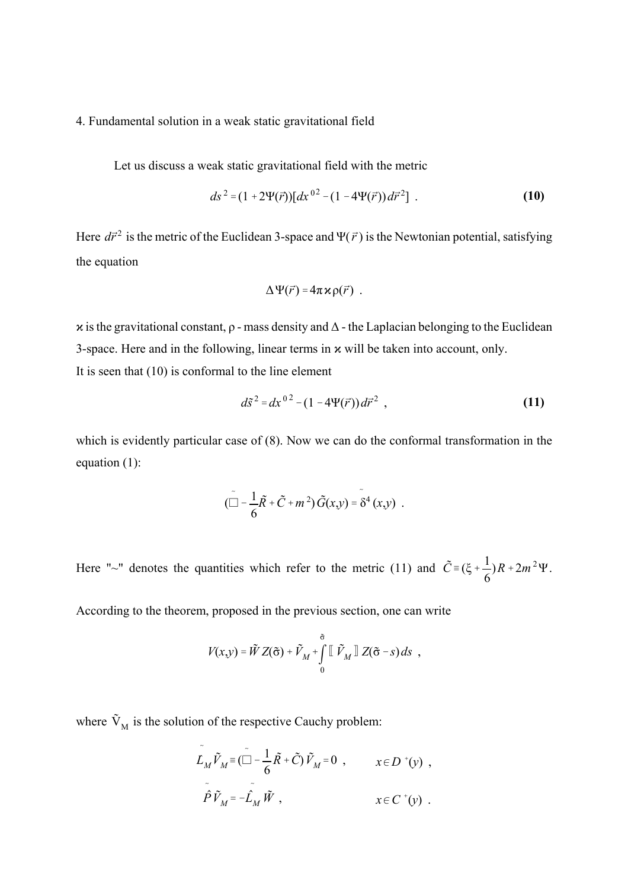# 4. Fundamental solution in a weak static gravitational field

Let us discuss a weak static gravitational field with the metric

$$
ds^{2} = (1 + 2\Psi(\vec{r}))[dx^{02} - (1 - 4\Psi(\vec{r}))d\vec{r}^{2}].
$$
 (10)

Here  $d\vec{r}^2$  is the metric of the Euclidean 3-space and  $\Psi(\vec{r})$  is the Newtonian potential, satisfying the equation

$$
\Delta \Psi(\vec{r}) = 4\pi \times \rho(\vec{r}) .
$$

 $\alpha$  is the gravitational constant,  $\rho$  - mass density and  $\Delta$  - the Laplacian belonging to the Euclidean 3-space. Here and in the following, linear terms in  $x$  will be taken into account, only. It is seen that (10) is conformal to the line element

$$
d\tilde{s}^2 = dx^{02} - (1 - 4\Psi(\vec{r}))d\vec{r}^2 , \qquad (11)
$$

which is evidently particular case of (8). Now we can do the conformal transformation in the equation (1):

$$
(\tilde{\Box} - \frac{1}{6}\tilde{R} + \tilde{C} + m^2)\tilde{G}(x,y) = \tilde{\delta}^4(x,y) .
$$

Here "~" denotes the quantities which refer to the metric (11) and  $\tilde{C} = (\xi + \frac{1}{\epsilon})R + 2m^2\Psi$ . 6  $(R + 2m<sup>2</sup>Ψ)$ 

According to the theorem, proposed in the previous section, one can write

$$
V(x,y) = \tilde{W} Z(\tilde{\sigma}) + \tilde{V}_M + \int_0^{\tilde{\sigma}} \left[ \tilde{V}_M \right] Z(\tilde{\sigma} - s) ds ,
$$

where  $\tilde{V}_{M}$  is the solution of the respective Cauchy problem:

$$
\tilde{L}_M \tilde{V}_M \equiv (\tilde{\Box} - \frac{1}{6} \tilde{R} + \tilde{C}) \tilde{V}_M = 0 , \qquad x \in D^+(y) ,
$$
  

$$
\tilde{P} \tilde{V}_M = -\tilde{L}_M \tilde{W} , \qquad x \in C^+(y) .
$$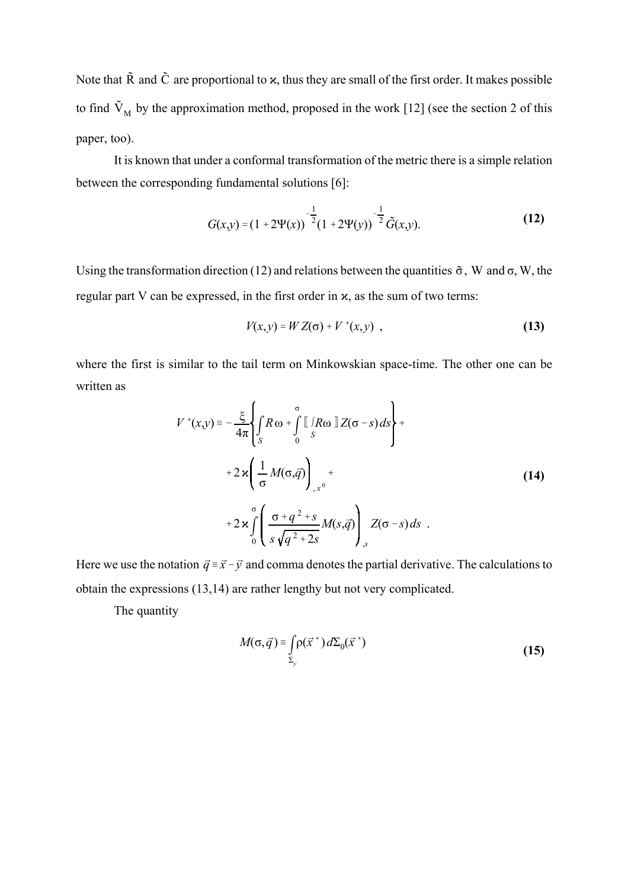Note that  $\tilde{R}$  and  $\tilde{C}$  are proportional to  $x$ , thus they are small of the first order. It makes possible to find  $\tilde{V}_{M}$  by the approximation method, proposed in the work [12] (see the section 2 of this paper, too).

It is known that under a conformal transformation of the metric there is a simple relation between the corresponding fundamental solutions [6]:

$$
G(x,y) = (1 + 2\Psi(x))^{-\frac{1}{2}} (1 + 2\Psi(y))^{-\frac{1}{2}} \tilde{G}(x,y).
$$
 (12)

Using the transformation direction (12) and relations between the quantities  $\tilde{\sigma}$ , W and  $\sigma$ , W, the regular part V can be expressed, in the first order in  $x$ , as the sum of two terms:

$$
V(x, y) = W Z(\sigma) + V^*(x, y) \tag{13}
$$

where the first is similar to the tail term on Minkowskian space-time. The other one can be written as

$$
V^*(x,y) = -\frac{\xi}{4\pi} \left\{ \int_S R \omega + \int_S^{\sigma} \left[ \int_R R \omega \right] Z(\sigma - s) ds \right\} + 2 \varkappa \left( \frac{1}{\sigma} M(\sigma, \vec{q}) \right)_{,x^0} + 2 \varkappa \int_S^{\sigma} \left( \frac{\sigma + q^2 + s}{s \sqrt{q^2 + 2s}} M(s, \vec{q}) \right)_{,s} Z(\sigma - s) ds
$$
 (14)

Here we use the notation  $\vec{q} = \vec{x} - \vec{y}$  and comma denotes the partial derivative. The calculations to obtain the expressions (13,14) are rather lengthy but not very complicated.

The quantity

$$
M(\sigma, \vec{q}) = \int_{\Sigma_y} \rho(\vec{x}^*) d\Sigma_0(\vec{x}^*)
$$
 (15)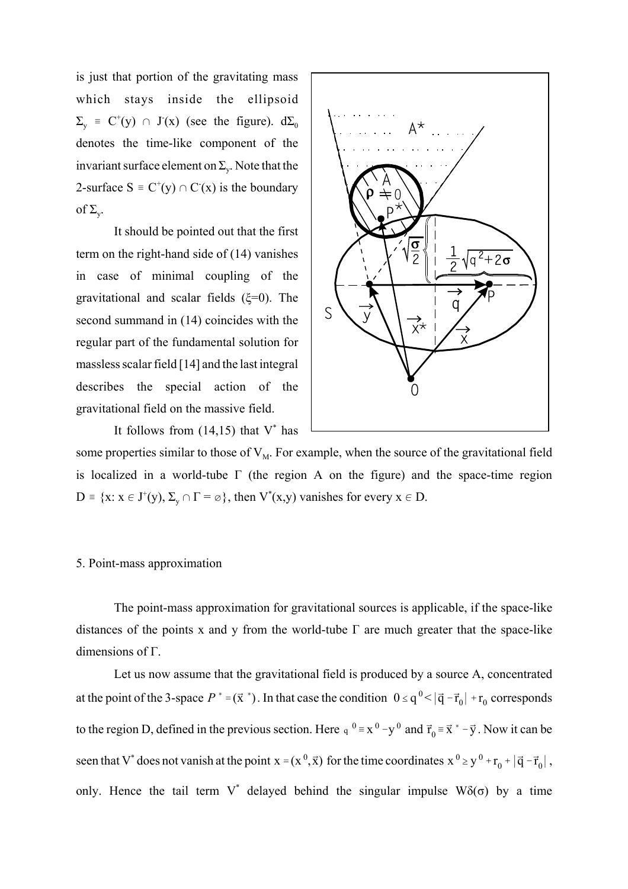is just that portion of the gravitating mass which stays inside the ellipsoid  $\Sigma_{y}$  = C<sup>+</sup>(y)  $\cap$  J<sup>-</sup>(x) (see the figure). d $\Sigma_{0}$ denotes the time-like component of the invariant surface element on  $\Sigma_{\rm v}$ . Note that the 2-surface  $S = C^+(y) \cap C^-(x)$  is the boundary of  $\Sigma_{\rm w}$ .

It should be pointed out that the first term on the right-hand side of (14) vanishes in case of minimal coupling of the gravitational and scalar fields  $(\xi=0)$ . The second summand in (14) coincides with the regular part of the fundamental solution for massless scalar field [14] and the last integral describes the special action of the gravitational field on the massive field.

It follows from  $(14,15)$  that V<sup>\*</sup> has



some properties similar to those of  $V_M$ . For example, when the source of the gravitational field is localized in a world-tube  $\Gamma$  (the region A on the figure) and the space-time region  $D = {x : x \in J^+(y), \Sigma_y \cap \Gamma = \emptyset}$ , then  $V^*(x,y)$  vanishes for every  $x \in D$ .

# 5. Point-mass approximation

The point-mass approximation for gravitational sources is applicable, if the space-like distances of the points x and y from the world-tube  $\Gamma$  are much greater that the space-like dimensions of Γ.

Let us now assume that the gravitational field is produced by a source A, concentrated at the point of the 3-space  $P^* = (\vec{x}^*)$ . In that case the condition  $0 \le q^0 < |\vec{q} - \vec{r}_0| + r_0$  corresponds to the region D, defined in the previous section. Here  $q^{0} = x^{0} - y^{0}$  and  $\vec{r}_{0} = \vec{x}^{*} - \vec{y}$ . Now it can be seen that V<sup>\*</sup> does not vanish at the point  $x = (x^0, \vec{x})$  for the time coordinates  $x^0 \ge y^0 + r_0^0 + |\vec{q} - \vec{r}_0|$ , only. Hence the tail term V<sup>\*</sup> delayed behind the singular impulse  $W\delta(\sigma)$  by a time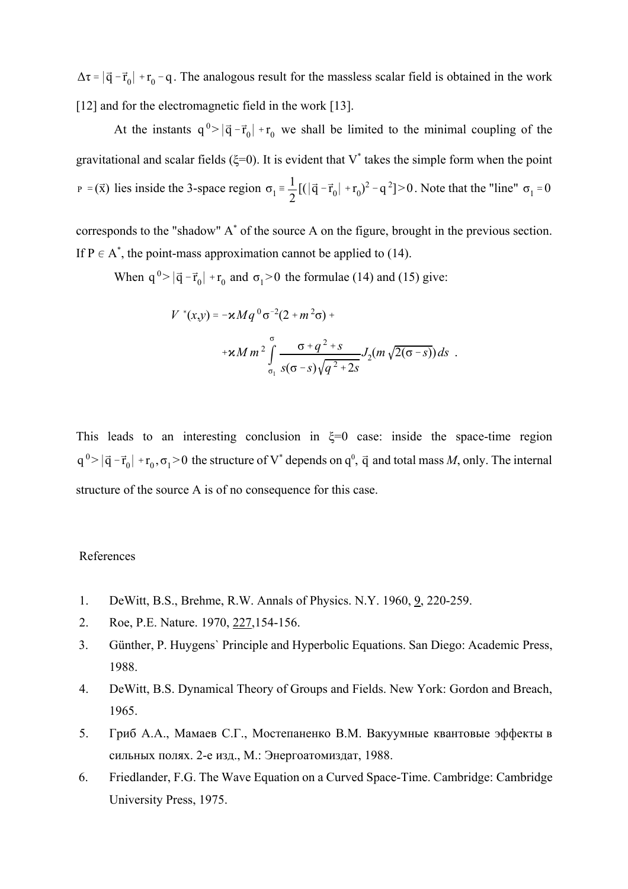$\Delta \tau = |\vec{q} - \vec{r}_0| + r_0 - q$ . The analogous result for the massless scalar field is obtained in the work [12] and for the electromagnetic field in the work [13].

At the instants  $q^0 > |\vec{q} - \vec{r}_0| + r_0$  we shall be limited to the minimal coupling of the gravitational and scalar fields ( $\xi=0$ ). It is evident that V<sup>\*</sup> takes the simple form when the point  $P = (\vec{x})$  lies inside the 3-space region  $\sigma_1 = \frac{1}{2} [(|\vec{q} - \vec{r}_0| + r_0)^2 - q^2] > 0$ . Note that the "line"  $\sigma_1 = 0$ 

corresponds to the "shadow" A\* of the source A on the figure, brought in the previous section. If  $P \in A^*$ , the point-mass approximation cannot be applied to (14).

When  $q^0 > |\vec{q} - \vec{r}_0| + r_0$  and  $\sigma_1 > 0$  the formulae (14) and (15) give:

$$
V^*(x,y) = -\kappa M q^0 \sigma^{-2} (2 + m^2 \sigma) +
$$
  
+  $\kappa M m^2 \int_{\sigma_1}^{\sigma} \frac{\sigma + q^2 + s}{s(\sigma - s) \sqrt{q^2 + 2s}} J_2(m \sqrt{2(\sigma - s)}) ds$ .

This leads to an interesting conclusion in  $\xi=0$  case: inside the space-time region  $|q^0\rangle |\vec{q}-\vec{r}_0|$  +  $r_0$ ,  $\sigma_1$  > 0 the structure of V<sup>\*</sup> depends on  $q^0$ ,  $\vec{q}$  and total mass *M*, only. The internal structure of the source A is of no consequence for this case.

#### References

- 1. DeWitt, B.S., Brehme, R.W. Annals of Physics. N.Y. 1960, 9, 220-259.
- 2. Roe, P.E. Nature. 1970, 227,154-156.
- 3. Günther, P. Huygens` Principle and Hyperbolic Equations. San Diego: Academic Press, 1988.
- 4. DeWitt, B.S. Dynamical Theory of Groups and Fields. New York: Gordon and Breach, 1965.
- 5. Гриб А.А., Мамаев С.Г., Мостепаненко В.М. Вакуумные квантовые эффекты в сильных полях. 2-е изд., М.: Энергоатомиздат, 1988.
- 6. Friedlander, F.G. The Wave Equation on a Curved Space-Time. Cambridge: Cambridge University Press, 1975.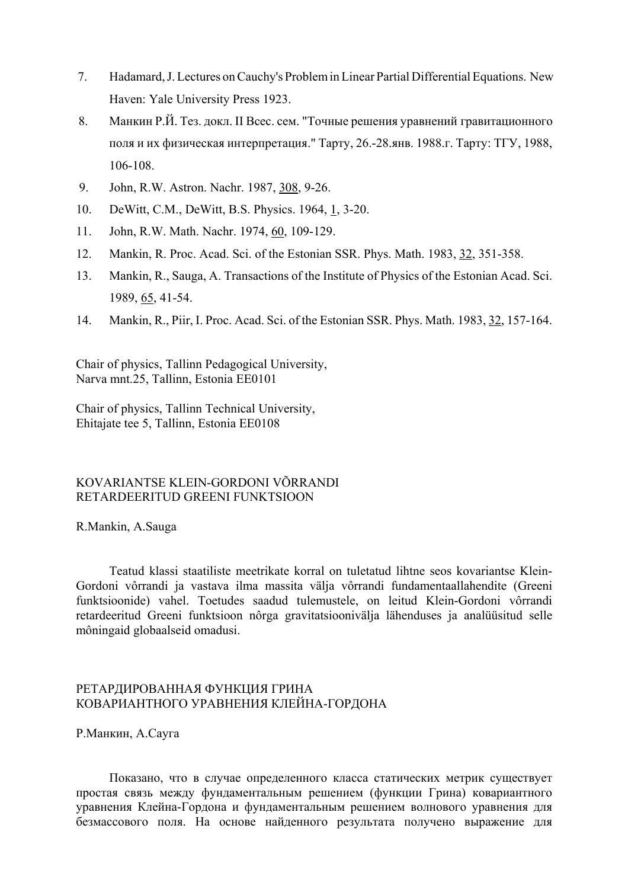- 7. Hadamard, J. Lectures on Cauchy's Problem in Linear Partial Differential Equations. New Haven: Yale University Press 1923.
- 8. Манкин Р.Й. Тез. докл. II Всес. сем. "Точные решения уравнений гравитационного поля и их физическая интерпретация." Тарту, 26.-28.янв. 1988.г. Тарту: ТГУ, 1988, 106-108.
- 9. John, R.W. Astron. Nachr. 1987, 308, 9-26.
- 10. DeWitt, C.M., DeWitt, B.S. Physics. 1964, 1, 3-20.
- 11. John, R.W. Math. Nachr. 1974, 60, 109-129.
- 12. Mankin, R. Proc. Acad. Sci. of the Estonian SSR. Phys. Math. 1983, 32, 351-358.
- 13. Mankin, R., Sauga, A. Transactions of the Institute of Physics of the Estonian Acad. Sci. 1989, 65, 41-54.
- 14. Mankin, R., Piir, I. Proc. Acad. Sci. of the Estonian SSR. Phys. Math. 1983, 32, 157-164.

Chair of physics, Tallinn Pedagogical University, Narva mnt.25, Tallinn, Estonia EE0101

Chair of physics, Tallinn Technical University, Ehitajate tee 5, Tallinn, Estonia EE0108

# KOVARIANTSE KLEIN-GORDONI VÕRRANDI RETARDEERITUD GREENI FUNKTSIOON

#### R.Mankin, A.Sauga

Teatud klassi staatiliste meetrikate korral on tuletatud lihtne seos kovariantse Klein-Gordoni vôrrandi ja vastava ilma massita välja vôrrandi fundamentaallahendite (Greeni funktsioonide) vahel. Toetudes saadud tulemustele, on leitud Klein-Gordoni vôrrandi retardeeritud Greeni funktsioon nôrga gravitatsioonivälja lähenduses ja analüüsitud selle môningaid globaalseid omadusi.

# РЕТАРДИРОВАННАЯ ФУНКЦИЯ ГРИНА КОВАРИАНТНОГО УРАВНЕНИЯ КЛЕЙНА-ГОРДОНА

Р.Манкин, А.Сауга

Показано, что в случае определенного класса статических метрик существует простая связь между фундаментальным решением (функции Грина) ковариантного уравнения Клейна-Гордона и фундаментальным решением волнового уравнения для безмассового поля. На основе найденного результата получено выражение для